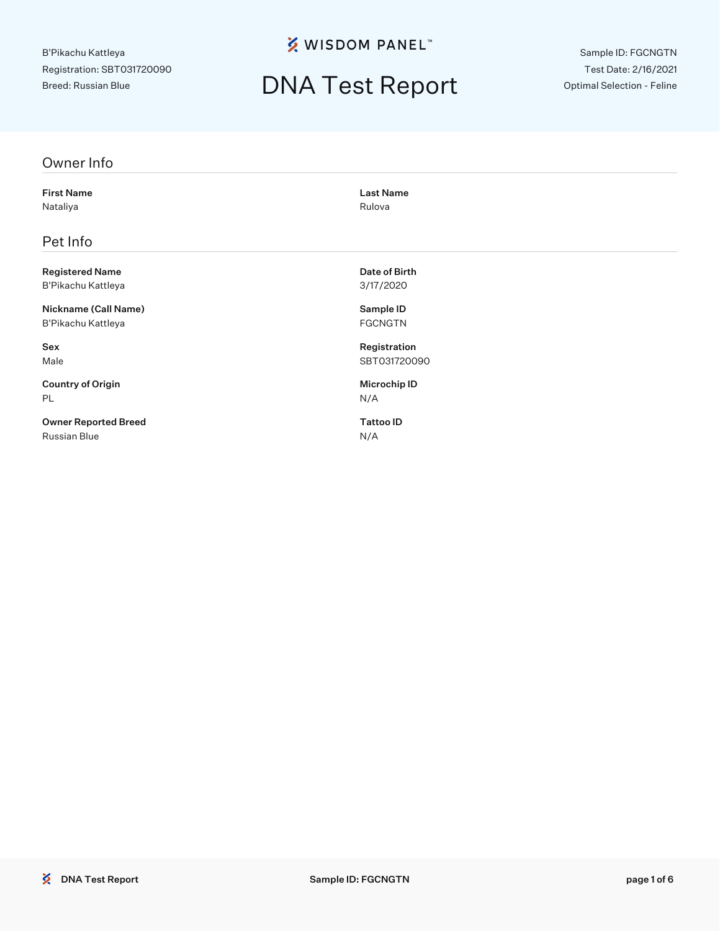**% WISDOM PANEL**™

## DNA Test Report

Sample ID: FGCNGTN Test Date: 2/16/2021 Optimal Selection - Feline

#### Owner Info

First Name Last Name Nataliya **Nataliya** Rulova Rulova Rulova Rulova Rulova Rulova Rulova Rulova Rulova Rulova Rulova Rulova Rulova

### Pet Info

Registered Name **Date of Birth** B'Pikachu Kattleya 3/17/2020

Nickname (Call Name) Sample ID B'Pikachu Kattleya **FGCNGTN** 

Country of Origin **Microchip ID** PL N/A

Owner Reported Breed Tattoo ID Russian Blue N/A

Sex Registration Male SBT031720090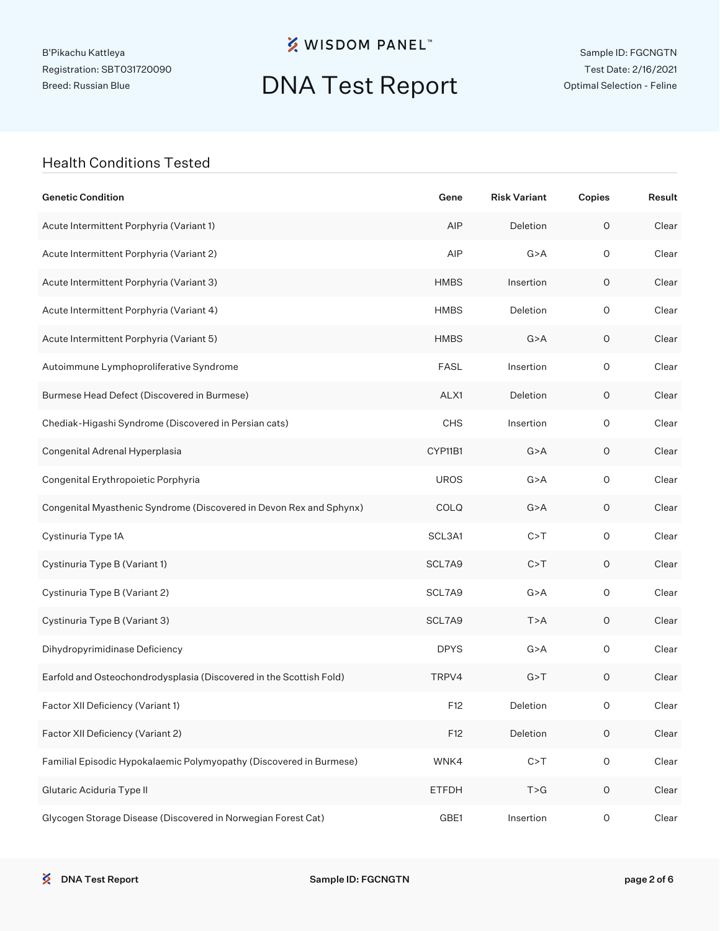**※ WISDOM PANEL**™

# DNA Test Report

Sample ID: FGCNGTN Test Date: 2/16/2021 Optimal Selection - Feline

### Health Conditions Tested

| <b>Genetic Condition</b>                                            | Gene         | <b>Risk Variant</b> | Copies              | Result |
|---------------------------------------------------------------------|--------------|---------------------|---------------------|--------|
| Acute Intermittent Porphyria (Variant 1)                            | AIP          | Deletion            | $\mathsf O$         | Clear  |
| Acute Intermittent Porphyria (Variant 2)                            | AIP          | G > A               | $\mathsf O$         | Clear  |
| Acute Intermittent Porphyria (Variant 3)                            | <b>HMBS</b>  | Insertion           | 0                   | Clear  |
| Acute Intermittent Porphyria (Variant 4)                            | <b>HMBS</b>  | Deletion            | $\mathsf O$         | Clear  |
| Acute Intermittent Porphyria (Variant 5)                            | <b>HMBS</b>  | G > A               | 0                   | Clear  |
| Autoimmune Lymphoproliferative Syndrome                             | <b>FASL</b>  | Insertion           | $\mathsf O$         | Clear  |
| Burmese Head Defect (Discovered in Burmese)                         | ALX1         | Deletion            | 0                   | Clear  |
| Chediak-Higashi Syndrome (Discovered in Persian cats)               | <b>CHS</b>   | Insertion           | $\mathsf O$         | Clear  |
| Congenital Adrenal Hyperplasia                                      | CYP11B1      | G > A               | 0                   | Clear  |
| Congenital Erythropoietic Porphyria                                 | <b>UROS</b>  | G > A               | $\mathsf O$         | Clear  |
| Congenital Myasthenic Syndrome (Discovered in Devon Rex and Sphynx) | COLQ         | G > A               | 0                   | Clear  |
| Cystinuria Type 1A                                                  | SCL3A1       | C > T               | $\mathsf O$         | Clear  |
| Cystinuria Type B (Variant 1)                                       | SCL7A9       | C > T               | 0                   | Clear  |
| Cystinuria Type B (Variant 2)                                       | SCL7A9       | G > A               | $\mathsf O$         | Clear  |
| Cystinuria Type B (Variant 3)                                       | SCL7A9       | T > A               | 0                   | Clear  |
| Dihydropyrimidinase Deficiency                                      | <b>DPYS</b>  | G > A               | $\mathsf O$         | Clear  |
| Earfold and Osteochondrodysplasia (Discovered in the Scottish Fold) | TRPV4        | G > T               | $\mathsf O$         | Clear  |
| Factor XII Deficiency (Variant 1)                                   | F12          | Deletion            | 0                   | Clear  |
| Factor XII Deficiency (Variant 2)                                   | F12          | Deletion            | $\mathsf O$         | Clear  |
| Familial Episodic Hypokalaemic Polymyopathy (Discovered in Burmese) | WNK4         | C > T               | $\mathsf O$         | Clear  |
| Glutaric Aciduria Type II                                           | <b>ETFDH</b> | T > G               | $\mathsf O$         | Clear  |
| Glycogen Storage Disease (Discovered in Norwegian Forest Cat)       | GBE1         | Insertion           | $\mathsf{O}\xspace$ | Clear  |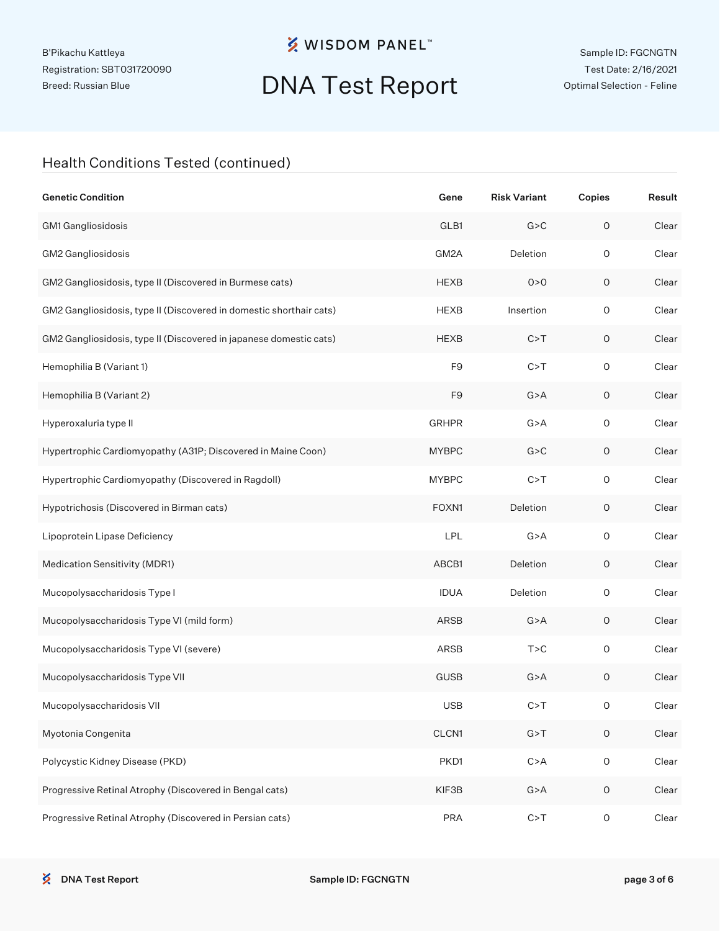**※ WISDOM PANEL**™

# DNA Test Report

### Health Conditions Tested (continued)

| <b>Genetic Condition</b>                                            | Gene           | <b>Risk Variant</b> | Copies              | Result |
|---------------------------------------------------------------------|----------------|---------------------|---------------------|--------|
| GM1 Gangliosidosis                                                  | GLB1           | G > C               | $\mathsf O$         | Clear  |
| GM2 Gangliosidosis                                                  | GM2A           | Deletion            | $\circ$             | Clear  |
| GM2 Gangliosidosis, type II (Discovered in Burmese cats)            | <b>HEXB</b>    | 0 > 0               | $\circ$             | Clear  |
| GM2 Gangliosidosis, type II (Discovered in domestic shorthair cats) | <b>HEXB</b>    | Insertion           | $\mathsf O$         | Clear  |
| GM2 Gangliosidosis, type II (Discovered in japanese domestic cats)  | <b>HEXB</b>    | C > T               | 0                   | Clear  |
| Hemophilia B (Variant 1)                                            | F <sub>9</sub> | C > T               | $\mathsf O$         | Clear  |
| Hemophilia B (Variant 2)                                            | F <sub>9</sub> | G > A               | 0                   | Clear  |
| Hyperoxaluria type II                                               | <b>GRHPR</b>   | G > A               | $\mathsf O$         | Clear  |
| Hypertrophic Cardiomyopathy (A31P; Discovered in Maine Coon)        | <b>MYBPC</b>   | G > C               | 0                   | Clear  |
| Hypertrophic Cardiomyopathy (Discovered in Ragdoll)                 | <b>MYBPC</b>   | C > T               | $\mathsf O$         | Clear  |
| Hypotrichosis (Discovered in Birman cats)                           | FOXN1          | Deletion            | 0                   | Clear  |
| Lipoprotein Lipase Deficiency                                       | LPL            | G > A               | $\mathsf O$         | Clear  |
| Medication Sensitivity (MDR1)                                       | ABCB1          | Deletion            | 0                   | Clear  |
| Mucopolysaccharidosis Type I                                        | <b>IDUA</b>    | Deletion            | $\mathsf O$         | Clear  |
| Mucopolysaccharidosis Type VI (mild form)                           | ARSB           | G > A               | 0                   | Clear  |
| Mucopolysaccharidosis Type VI (severe)                              | ARSB           | T > C               | $\mathsf O$         | Clear  |
| Mucopolysaccharidosis Type VII                                      | <b>GUSB</b>    | G > A               | 0                   | Clear  |
| Mucopolysaccharidosis VII                                           | <b>USB</b>     | C > T               | O                   | Clear  |
| Myotonia Congenita                                                  | CLCN1          | G > T               | $\mathsf O$         | Clear  |
| Polycystic Kidney Disease (PKD)                                     | PKD1           | C > A               | $\mathsf O$         | Clear  |
| Progressive Retinal Atrophy (Discovered in Bengal cats)             | KIF3B          | G > A               | $\mathsf O$         | Clear  |
| Progressive Retinal Atrophy (Discovered in Persian cats)            | <b>PRA</b>     | C > T               | $\mathsf{O}\xspace$ | Clear  |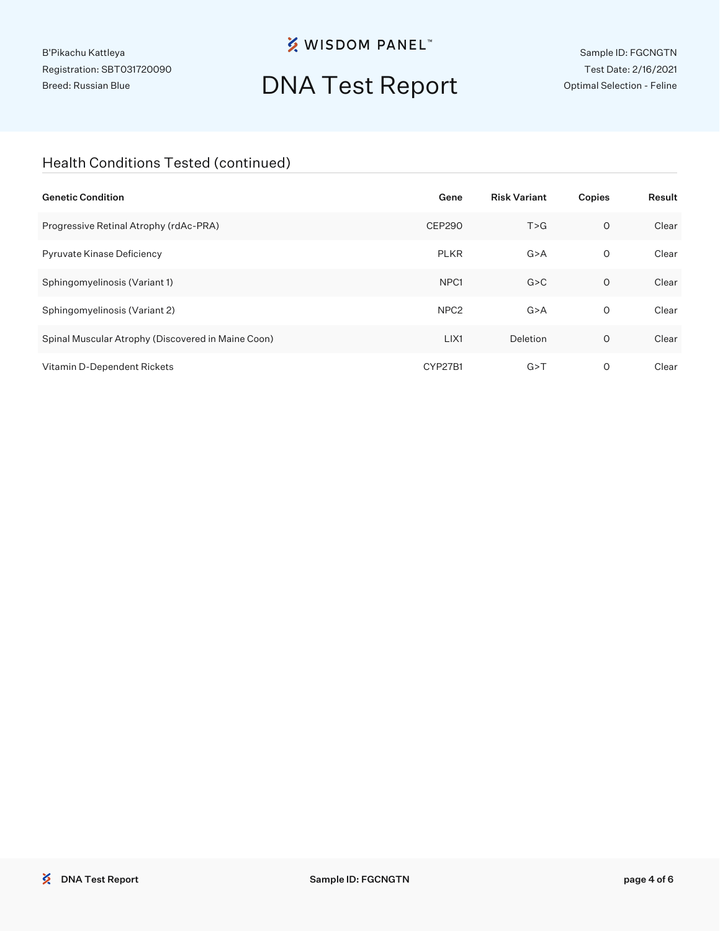## **※ WISDOM PANEL**™

# DNA Test Report

Sample ID: FGCNGTN Test Date: 2/16/2021 Optimal Selection - Feline

### Health Conditions Tested (continued)

| <b>Genetic Condition</b>                           | Gene             | <b>Risk Variant</b> | Copies  | Result |
|----------------------------------------------------|------------------|---------------------|---------|--------|
| Progressive Retinal Atrophy (rdAc-PRA)             | CEP290           | T > G               | $\circ$ | Clear  |
| Pyruvate Kinase Deficiency                         | <b>PLKR</b>      | G > A               | 0       | Clear  |
| Sphingomyelinosis (Variant 1)                      | NPC <sub>1</sub> | G > C               | $\circ$ | Clear  |
| Sphingomyelinosis (Variant 2)                      | NPC <sub>2</sub> | G > A               | 0       | Clear  |
| Spinal Muscular Atrophy (Discovered in Maine Coon) | LIX1             | Deletion            | O       | Clear  |
| Vitamin D-Dependent Rickets                        | CYP27B1          | G > T               | 0       | Clear  |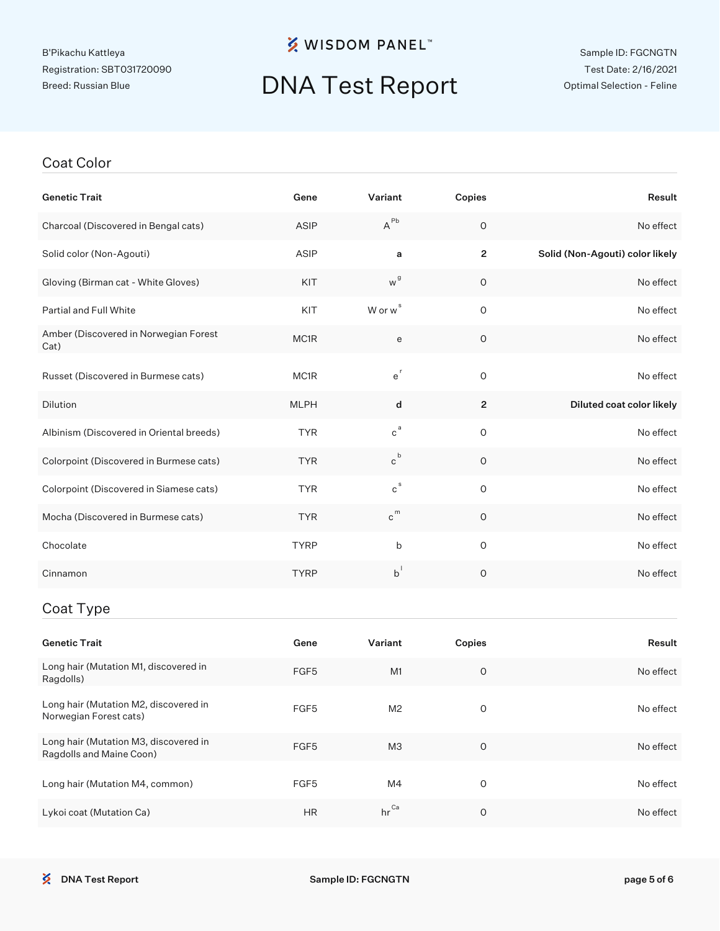## **※ WISDOM PANEL**™

# DNA Test Report

#### Sample ID: FGCNGTN Test Date: 2/16/2021 Optimal Selection - Feline

#### Coat Color

| <b>Genetic Trait</b>                          | Gene        | Variant                        | Copies         | Result                          |
|-----------------------------------------------|-------------|--------------------------------|----------------|---------------------------------|
| Charcoal (Discovered in Bengal cats)          | ASIP        | $A^{\sf Pb}$                   | $\circ$        | No effect                       |
| Solid color (Non-Agouti)                      | ASIP        | a                              | $\overline{2}$ | Solid (Non-Agouti) color likely |
| Gloving (Birman cat - White Gloves)           | KIT         | w <sup>g</sup>                 | $\mathsf O$    | No effect                       |
| Partial and Full White                        | KIT         | W or w <sup>s</sup>            | $\circ$        | No effect                       |
| Amber (Discovered in Norwegian Forest<br>Cat) | MC1R        | е                              | $\mathsf O$    | No effect                       |
| Russet (Discovered in Burmese cats)           | MC1R        | $e^r$                          | $\circ$        | No effect                       |
| Dilution                                      | <b>MLPH</b> | d                              | $\mathbf{2}$   | Diluted coat color likely       |
| Albinism (Discovered in Oriental breeds)      | <b>TYR</b>  | $\mathtt{c}^{\,\mathtt{a}}$    | $\mathbf 0$    | No effect                       |
| Colorpoint (Discovered in Burmese cats)       | <b>TYR</b>  | $c^b$                          | $\circ$        | No effect                       |
| Colorpoint (Discovered in Siamese cats)       | <b>TYR</b>  | $c^{s}$                        | $\mathsf O$    | No effect                       |
| Mocha (Discovered in Burmese cats)            | <b>TYR</b>  | $\hbox{c}^{\hbox{\tiny\rm m}}$ | $\mathsf O$    | No effect                       |
| Chocolate                                     | <b>TYRP</b> | b                              | $\mathsf O$    | No effect                       |
| Cinnamon                                      | <b>TYRP</b> | $b^{\dagger}$                  | $\circ$        | No effect                       |
| Coat Type                                     |             |                                |                |                                 |

| <b>Genetic Trait</b>                                              | Gene             | Variant          | Copies | Result    |
|-------------------------------------------------------------------|------------------|------------------|--------|-----------|
| Long hair (Mutation M1, discovered in<br>Ragdolls)                | FGF <sub>5</sub> | M1               | 0      | No effect |
| Long hair (Mutation M2, discovered in<br>Norwegian Forest cats)   | FGF <sub>5</sub> | M <sub>2</sub>   | O      | No effect |
| Long hair (Mutation M3, discovered in<br>Ragdolls and Maine Coon) | FGF <sub>5</sub> | M <sub>3</sub>   | O      | No effect |
| Long hair (Mutation M4, common)                                   | FGF <sub>5</sub> | M4               | 0      | No effect |
| Lykoi coat (Mutation Ca)                                          | <b>HR</b>        | $hr^{\text{Ca}}$ | O      | No effect |